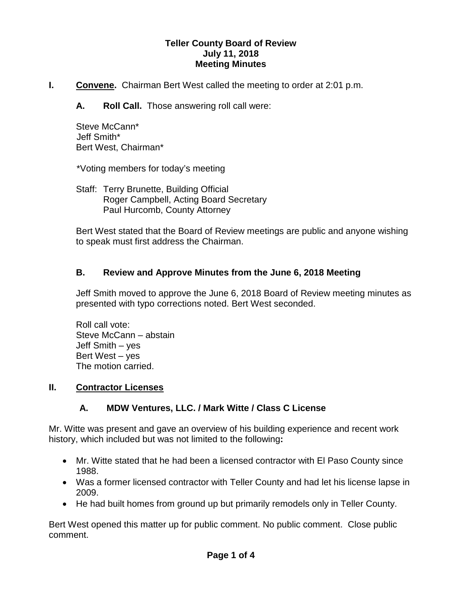#### **Teller County Board of Review July 11, 2018 Meeting Minutes**

- **I.** Convene. Chairman Bert West called the meeting to order at 2:01 p.m.
	- **A. Roll Call.** Those answering roll call were:

Steve McCann\* Jeff Smith\* Bert West, Chairman\*

\*Voting members for today's meeting

Staff: Terry Brunette, Building Official Roger Campbell, Acting Board Secretary Paul Hurcomb, County Attorney

Bert West stated that the Board of Review meetings are public and anyone wishing to speak must first address the Chairman.

## **B. Review and Approve Minutes from the June 6, 2018 Meeting**

Jeff Smith moved to approve the June 6, 2018 Board of Review meeting minutes as presented with typo corrections noted. Bert West seconded.

Roll call vote: Steve McCann – abstain Jeff Smith – yes Bert West – yes The motion carried.

### **II. Contractor Licenses**

## **A. MDW Ventures, LLC. / Mark Witte / Class C License**

Mr. Witte was present and gave an overview of his building experience and recent work history, which included but was not limited to the following**:**

- Mr. Witte stated that he had been a licensed contractor with El Paso County since 1988.
- Was a former licensed contractor with Teller County and had let his license lapse in 2009.
- He had built homes from ground up but primarily remodels only in Teller County.

Bert West opened this matter up for public comment. No public comment. Close public comment.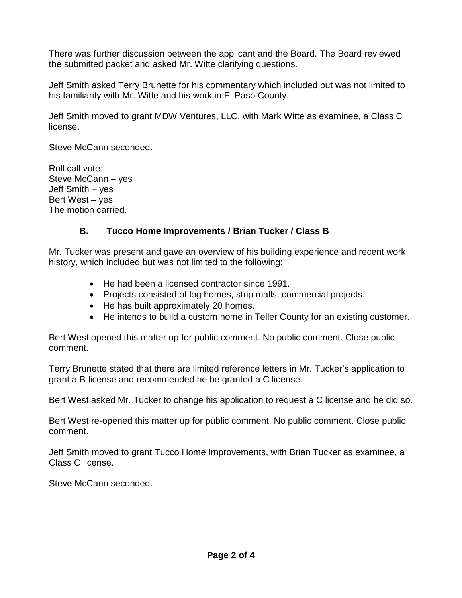There was further discussion between the applicant and the Board. The Board reviewed the submitted packet and asked Mr. Witte clarifying questions.

Jeff Smith asked Terry Brunette for his commentary which included but was not limited to his familiarity with Mr. Witte and his work in El Paso County.

Jeff Smith moved to grant MDW Ventures, LLC, with Mark Witte as examinee, a Class C license.

Steve McCann seconded.

Roll call vote: Steve McCann – yes Jeff Smith – yes Bert West – yes The motion carried.

## **B. Tucco Home Improvements / Brian Tucker / Class B**

Mr. Tucker was present and gave an overview of his building experience and recent work history, which included but was not limited to the following:

- He had been a licensed contractor since 1991.
- Projects consisted of log homes, strip malls, commercial projects.
- He has built approximately 20 homes.
- He intends to build a custom home in Teller County for an existing customer.

Bert West opened this matter up for public comment. No public comment. Close public comment.

Terry Brunette stated that there are limited reference letters in Mr. Tucker's application to grant a B license and recommended he be granted a C license.

Bert West asked Mr. Tucker to change his application to request a C license and he did so.

Bert West re-opened this matter up for public comment. No public comment. Close public comment.

Jeff Smith moved to grant Tucco Home Improvements, with Brian Tucker as examinee, a Class C license.

Steve McCann seconded.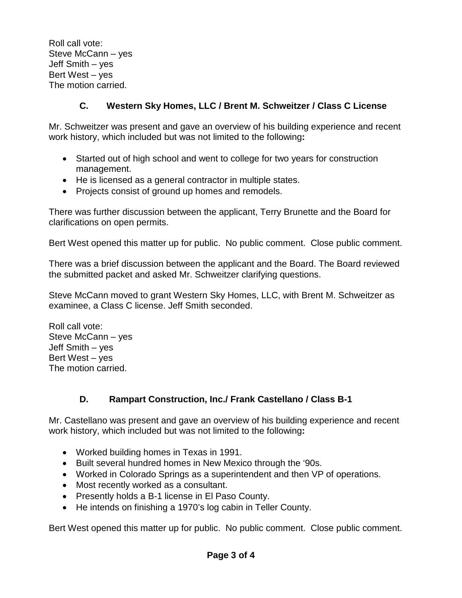Roll call vote: Steve McCann – yes Jeff Smith – yes Bert West – yes The motion carried.

# **C. Western Sky Homes, LLC / Brent M. Schweitzer / Class C License**

Mr. Schweitzer was present and gave an overview of his building experience and recent work history, which included but was not limited to the following**:**

- Started out of high school and went to college for two years for construction management.
- He is licensed as a general contractor in multiple states.
- Projects consist of ground up homes and remodels.

There was further discussion between the applicant, Terry Brunette and the Board for clarifications on open permits.

Bert West opened this matter up for public. No public comment. Close public comment.

There was a brief discussion between the applicant and the Board. The Board reviewed the submitted packet and asked Mr. Schweitzer clarifying questions.

Steve McCann moved to grant Western Sky Homes, LLC, with Brent M. Schweitzer as examinee, a Class C license. Jeff Smith seconded.

Roll call vote: Steve McCann – yes Jeff Smith – yes Bert West – yes The motion carried.

## **D. Rampart Construction, Inc./ Frank Castellano / Class B-1**

Mr. Castellano was present and gave an overview of his building experience and recent work history, which included but was not limited to the following**:**

- Worked building homes in Texas in 1991.
- Built several hundred homes in New Mexico through the '90s.
- Worked in Colorado Springs as a superintendent and then VP of operations.
- Most recently worked as a consultant.
- Presently holds a B-1 license in El Paso County.
- He intends on finishing a 1970's log cabin in Teller County.

Bert West opened this matter up for public. No public comment. Close public comment.